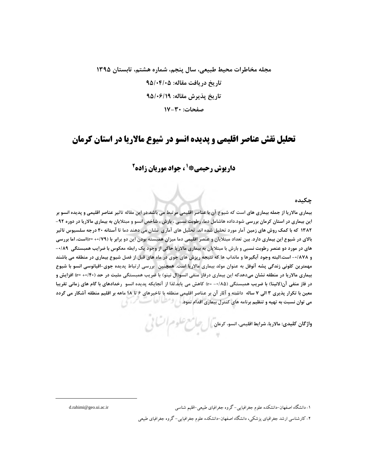# مجله مخاطرات محیط طبیعی، سال پنجم، شماره هشتم، تابستان ۱۳۹۵ تاریخ در یافت مقاله: ۹۵/۰۴/۰۵ تاريخ پذيرش مقاله: ٩٥/٠۶/١٩ صفحات: ٣٠-١٧

# تحلیل نقش عناصر اقلیمی و پدیده انسو در شیوع مالاریا در استان کرمان

# **داریوش رحیمی\* 5، جواد موریان زاده<sup>2</sup>**

### چکىدە

بیماری مالاریا از جمله بیماری های است که شیوع آن با عناصر اقلیمی مرتبط می باشد.در این مقاله تاثیر عناصر اقلیمی و پدیده انسو بر این بیماری در استان کرمان بررسی شود.داده هاشامل دما، رطوبت نسبی ، بارش ، شاخص انسو و مبتلایان به بیماری مالاریا در دوره ۹۲-۱۳۸۲ که با کمک روش های زمین آمار مورد تحلیل شده اند. تحلیل های آماری نشان می دهند دما تا آستانه ۴۰ درجه سلسیوس تاثیر بالای در شیوع این بیماری دارد. بین تعداد مبتلایان و عنصر اقلیمی دما میزان همبسته بودن این دو برابر با (۲۹/۰+=۳)است، اما بررسی های در مورد دو عنصر رطوبت نسبی و بارش با مبتلایان به بیماری مالاریا حاکی از وجود یک رابطه معکوس با ضرایب همبستگی ۸۹/۰-و ۰/۸۷۸- است.البته وجود آبگیرها و مانداب ها که نتیجه ریزش های جوی در ماه های قبل از فصل شیوع بیماری در منطقه می باشند مهمترین کلونی زندگی پشه آنوفل به عنوان مولد بیماری مالاریا است. همچنین بررسی ارتباط پدیده جوی-اقیانوسی انسو با شیوع بیماری مالاریا در منطقه نشان میدهدکه این بیماری درفاز منفی انسو(ال نینو) با ضریب همبستگی مثبت در حد (۲۰/۴۰+ r=) افزایش و در فاز منفی آن(لانینا) با ضریب همبستگی (۱۸۵۵– r=) کاهش می یابد.لذا از آنجایکه پدیده انسو رخدادهای با گام های زمانی تقریبا معین با تکرار پذیری ۳ الی ۷ ساله داشته و آثار آن بر عناصر اقلیمی منطقه با تاخیرهای ۶ تا ۱۸ ماهه بر اقلیم منطقه آشکار می گردد می توان نسبت به تهیه و تنظیم برنامه های کنترل بیماری اقدام نمود. استفادها

واژگان کلیدی: مالاریا، شرایط اقلیمی، انسو، کرمان ) است مسلح علوم السکانی<br>.

۱- دانشگاه اصفهان-دانشکده علوم جغرافیایی- گروه جغرافیای طبیعی-اقلیم شناسی ۲- کارشناسی ارشد جغراقیای پزشکی، دانشگاه اصفهان-دانشکده علوم جغرافیایی- گروه جغرافیای طبیعی

d.rahimi@geo.ui.ac.ir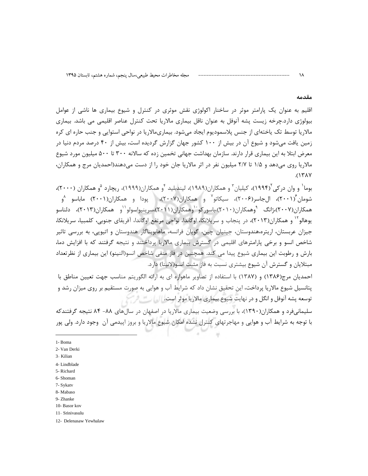#### مقدمه

١٨

اقلیم به عنوان یک پارامتر موثر در ساخنار اکولوژی نقش موثری در کنترل و شیوع بیماری ها ناشی از عوامل بیولوژی دارد.چرخه زیست پشه آنوفل به عنوان ناقل بیماری مالاریا تحت کنترل عناصر اقلیمی می باشد. بیماری مالاریا توسط تک یاختهای از جنس پلاسمودیوم ایجاد میشود. بیماریمالاریا در نواحی استوایی و جنب حاره ای کره زمین یافت می شود و شیوع آن در بیش از ۱۰۰ کشور جهان گزارش گردیده است، بیش از ۴۰ درصد مردم دنیا در معرض ابتلا به این بیماری قرار دارند. سازمان بهداشت جهانی تخمین زده که سالانه ۳۰۰ تا ۵۰۰ میلیون مورد شیوع مالاریا روی می،دهد و ۱/۵ تا ۲/۷ میلیون نفر در اثر مالاریا جان خود را از دست می،دهند(احمدیان مرج و همکاران،  $(151)$ 

بوما<sup>\</sup> و وان در کی ۱۹۹۴)، کیلیان ّ و همکاران(۱۹۸۹)، لیندبلید <sup>۴</sup>و همکاران(۱۹۹۹)، ریچارد <sup>۵</sup>و همکاران (۲۰۰۰)، شومان ۲۰۰۱)، ال-اسر(۲۰۰۶)، سیکاتو و همکاران(۲۰۰۷)، دیودا و همکاران(۲۰۰۱) ماباسو <sup>۵</sup>و همکاران(۲۰۰۷)،ژانگ <sup>۹</sup>وهمکاران(۲۰۱۰)،باسور کو<sup>۱۰</sup>وهمکاران(۲۰۱۱)،سرینیواسولو<sup>۱۱</sup>و همکاران(۲۰۱۳)، دلناسو يوهالو<sup>۱۲</sup> و همکاران(۲۰۱۳)، در پنجاب و سريلانکا، اوگاندا، نواحي مرتفع اوگاندا، آفريقاي جنوبي، کلمبيا، سريلانکا، جیزان عربستان، اریتره،هندوستان، جینیان چین، گویان فرانسه، ماهابوبناگار هندوستان و اتیویی، به بررسی تاثیر شاخص انسو و برخی پارامترهای اقلیمی در گسترش بیماری مالاریا پرداختند و نتیجه گرفتند که با افزایش دما، بارش و رطوبت این بیماری شیوع پیدا می کند. همچنین در فاز منفی شاخص انسو(النینو) این بیماری از نظرتعداد مبتلایان و گسترش آن شیوع بیشتری نسبت به فاز مثبت انسو(لانینا) دارد.

احمدیان مرج(۱۳۸۶) و (۱۳۸۷) با استفاده از تصاویر ماهواره ای به ارائه الگوریتم مناسب جهت تعیین مناطق با پتانسیل شیوع مالاریا پرداخت، این تحقیق نشان داد که شرایط آب و هوایی به صورت مستقیم بر روی میزان رشد و توسعه پشه آنوفل و انگل و در نهایت شیوع بیماری مالاریا موثر است. ایست

سلیمانیفرد و همکاران(۱۳۹۰)، با بررسی وضعیت بیماری مالاریا در اصفهان در سالهای ۸۸- ۸۴ نتیجه گرفتندکه با توجه به شرایط آب و هوایی و مهاجرتهای کنترل نشده امکان شیوع مالاریا و بروز اپیدمی آن وجود دارد. ولی پور

1- Boma

8-Mahaso

<sup>2-</sup> Van Derki

<sup>3-</sup> Kilian

<sup>4-</sup>Lindblade

<sup>5-</sup> Richard

<sup>6-</sup>Shoman

<sup>7-</sup> Sykatv

<sup>9-</sup> Zhanke

<sup>10-</sup> Basor kov 11- Srinivasulu

<sup>12-</sup> Delenasaw Yewhalaw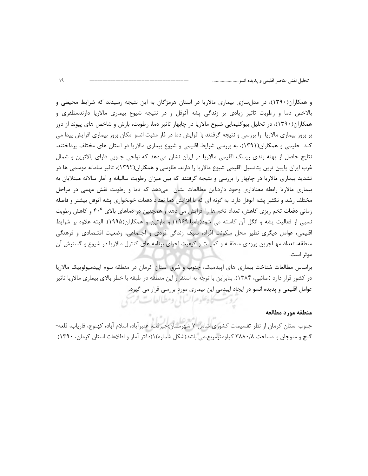و همکاران(۱۳۹۰)، در مدلسازی بیماری مالاریا در استان هرمزگان به این نتیجه رسیدند که شرایط محیطی و بالاخص دما و رطوبت تاثیر زیادی بر زندگی پشه آنوفل و در نتیجه شیوع بیماری مالاریا دارند.مظفری و همکاران(۱۳۹۰)، در تحلیل بیوکلیمایی شیوع مالاریا در چابهار تاثیر دما، رطوبت، بارش و شاخص های پیوند از دور بر بروز بیماری مالاریا ۖ را بررسی و نتیجه گرفتند با افزایش دما در فاز مثبت انسو امکان بروز بیماری افزایش پیدا می کند. حلیمی و همکاران(۱۳۹۱)، به بررسی شرایط اقلیمی و شیوع بیماری مالاریا در استان های مختلف پرداختند. نتایج حاصل از پهنه بندی ریسک اقلیمی مالاریا در ایران نشان میدهد که نواحی جنوبی دارای بالاترین و شمال غرب ایران پایین ترین پتانسیل اقلیمی شیوع مالاریا را دارند. طاوسی و همکاران(۱۳۹۲)، تاثیر سامانه موسمی ها در تشدید بیماری مالاریا در چابهار را بررسی و نتیجه گرفتند که بین میزان رطوبت سالیانه و آمار سالانه مبتلایان به بیماری مالاریا رابطه معناداری وجود دارد.این مطالعات نشان هیدهد که دما و رطوبت نقش مهمی در مراحل مختلف رشد و تکثیر پشه آنوفل دارد. به گونه ای که با افزایش دما تعداد دفعات خونخواری پشه آنوفل بیشتر و فاصله زمانی دفعات تخم ریزی کاهش، تعداد تخم ها را افزایش می دهد و همچنین در دماهای بالای ۴۰° و کاهش رطوبت نسبی از فعالیت پشه و انگل آن کاسته می شود(یامیا،۱۹۶۹) و مارتین و همکاران(۱۹۹۵). البته علاوه بر شرایط اقلیمی، عوامل دیگری نظیر محل سکونت افراد، سبک زندگی فردی و اجتماعی، وضعیت اقتـصادی و فرهنگی منطقه، تعداد مهـاجرين ورودي منطقـه و كميـت و كيفيت اجراي برنامه هاي كنترل مالاريا در شيوع و گسترش آن موثر است.

براساس مطالعات شناخت بیماری های اپیدمیک، جنوب و شرق استان کرمان در منطقه سوم اپیدمیولوییک مالاریا در کشور قرار دارد (صائبی، ۱۳۸۴). بنابراین با توجه به استقرار این منطقه در طبقه با خطر بالای بیماری مالاریا تاثیر عوامل اقلیمی و پدیده انسو در ایجاد اپیدمی این بیماری مورد بررسی قرار می گیرد.

کاہ علوم السانی ومطالعات فرسی

منطقه مورد مطالعه

جنوب استان كرمان از نظر تقسيمات كشورى شامل ٧ شهرستان:جيرفت، عنبرآباد، اسلام آباد، كهنوج، فارياب، قلعه-گنج و منوجان با مساحت ۳۸۸۰/۸ کیلومترمربع،می باشد(شکل شماره) ۱(دفتر آمار و اطلاعات استان کرمان، ۱۳۹۰).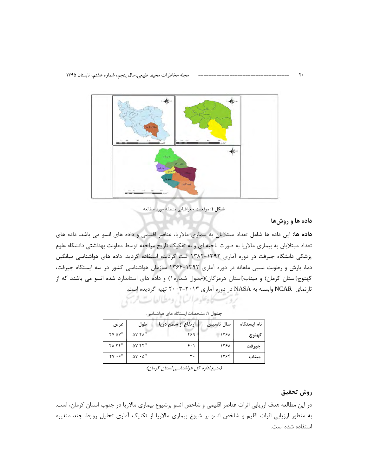

شكل ١: موقعيت جغرافيايي منطقه مورد مطالعه

### داده ها و روشها

داده ها: این داده ها شامل تعداد مبتلایان به بیماری مالاریا، عناصر اقلیمی و داده های انسو می باشد. داده های تعداد مبتلایان به بیماری مالاریا به صورت ناحیه ای و به تفکیک تاریخ مراجعه توسط معاونت بهداشتی دانشگاه علوم پزشکی دانشگاه جیرفت در دوره آماری ۱۳۹۲-۱۳۸۲ ثبت گردیده استفاده گردید. داده های هواشناسی میانگین دما، بارش و رطوبت نسبی ماهانه در دوره آماری ۱۳۹۲-۱۳۶۴ سازمان هواشناسی کشور در سه ایستگاه جیرفت، کهنوج(استان کرمان) و میناب(استان هرمزگان)(جدول شماره۱) و داده های استاندارد شده انسو می باشند که از تارنمای NCAR وابسته به NASA در دوره آماری ۲۰۱۳-۲۰۰۳ تهیه گردیده است.

| بحدون ، . مستحققات ایشتخانا با تاریخ است سے ،. |           |                    |                           |                                                                |  |  |
|------------------------------------------------|-----------|--------------------|---------------------------|----------------------------------------------------------------|--|--|
| نام ایستگاه                                    | سال تاسیس | ارتفاع از سطح دریا | طول                       | عرض                                                            |  |  |
| كهنوج                                          | 1391      | ۴۶۹                | <b>AY FA"</b>             | $\mathsf{Y}\,\mathsf{Y}\,\mathsf{\Delta}\mathsf{Y}\mathsf{''}$ |  |  |
| جيرفت                                          | ۱۳۶۸      | ۶۰۱                | ۵۷ ۴۲"                    | $\gamma \wedge \gamma \gamma''$                                |  |  |
| ميناب                                          | ۱۳۶۴      | ٣.                 | $\Delta V \cdot \Delta''$ | $\gamma \gamma \cdot \gamma$ "                                 |  |  |

حدول (: مشخصات ايستگاه های هواشناسه

يحاه علوم السائي ومطالعات فريج

(منبع:اداره کل هواشناسی استان کرمان)

## روش تحقيق

در این مطالعه هدف ارزیابی اثرات عناصر اقلیمی و شاخص انسو برشیوع بیماری مالاریا در جنوب استان کرمان، است. به منظور ارزیابی اثرات اقلیم و شاخص انسو بر شیوع بیماری مالاریا از تکنیک آماری تحلیل روابط چند متغیره استفاده شده است.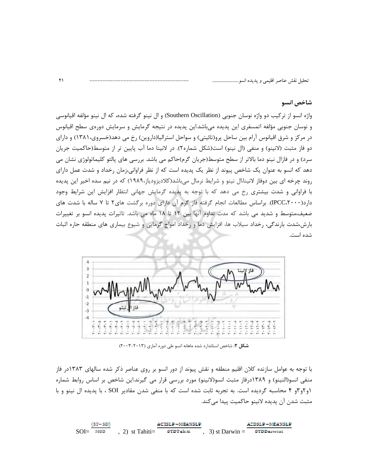### شاخص انسو

واژه انسو از تركيب دو واژه نوسان جنوبي (Southern Oscillation) و ال نينو گرفته شده، كه ال نينو مؤلفه اقيانوسي و نوسان جنوبي مؤلفه اتمسفري اين پديده مي باشد.اين پديده در نتيجه گرمايش و سرمايش دورەي سطح اقيانوس در مرکز و شرق اقیانوس آرام بین ساحل پرو(تائیتی) و سواحل استرالیا(داروین) رخ می دهد(خسروی،۱۳۸۱) و دارای دو فاز مثبت (لانینو) و منفی (ال نینو) است(شکل شماره۲). در لانینا دما آب پایین تر از متوسط(حاکمیت جریان سرد) و در فازال نینو دما بالاتر از سطح متوسط(جریان گرم)حاکم می باشد. بررسی های پالئو کلیماتولوژی نشان می دهد که انسو به عنوان یک شاخص پیوند از نظر یک پدیده است که از نظر فراوانی،زمان رخداد و شدت عمل دارای روند چرخه ای بین دوفاز لانینا،ال نینو و شرایط نرمال میباشد(کلادیزودیاز،۱۹۸۹) که در نیم سده اخیر این پدیده با فراوانی و شدت بیشتری رخ می دهد که با توجه به پدیده گرمایش جهانی انتظار افزایش این شرایط وجود دارد(IPCC،۲۰۰۰). براساس مطالعات انجام گرفته فاز گرم آن دارای دوره برگشت های ۲ تا ۷ ساله با شدت های ضعیف،متوسط و شدید می باشد که مدت تداوم آنها بین ۱۲ تا ۱۸ ماه می باشد. تاثیرات پدیده انسو بر تغییرات بارش،شدت بارندگی، رخداد سیلاب ها، افزایش دما و رخداد امواج گرمایی و شیوع بیماری های منطقه حاره اثبات شده است.



شکل ۲: شاخص استاندارد شده ماهانه انسو طی دوره آماری (۲۰۱۳–۲۰۰۳)

با توجه به عوامل سازنده کلان اقلیم منطقه و نقش پیوند از دور انسو بر روی عناصر ذکر شده سالهای ۱۳۸۳در فاز منفی انسو(النینو) و ۱۳۸۹درفاز مثبت انسو(لانینو) مورد بررسی قرار می گیرند.این شاخص بر اساس روابط شماره ۱و ۲و۳و ۴ محاسبه گردیده است. به تجربه ثابت شده است که با منفی شدن مقادیر SOI ، با پدیده ال نینو و با مثبت شدن أن پديده لانينو حاكميت پيدا ميكند.

 $(ST - SD)$ **ACTSLP-MEANSLP ACDSLP-MEANSLP**  $SOL = MSD$  $(2)$  st Tahiti= STOTahiti  $(3)$  st Darwin = **STOD**arwini

 $\Upsilon$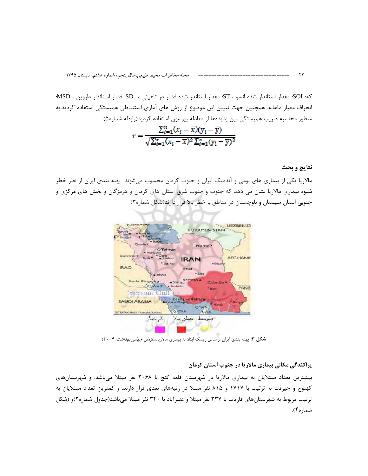كه: SOI: مقدار استاندار شده انسو ، ST: مقدار استاندر شده فشار در تاهيتي ، SD: فشار استاندار داروين ، MSD: انحراف معيار ماهانه. همچنين جهت تبيين اين موضوع از روش هاي آماري استنباطي همبستگي استفاده گرديد.به منظور محاسبه ضريب همبستگي بين پديدهها از معادله پيرسون استفاده گرديد(رابطه شماره۵).

$$
r = \frac{\sum_{i=1}^{n} (x_i - \overline{x})(y_i - \overline{y})}{\sqrt{\sum_{i=1}^{n} (x_i - \overline{x})^2 \sum_{i=1}^{n} (y_i - \overline{y})^2}}
$$

#### نتايج و بحث

مالاریا یکی از بیماری های بومی و آندمیک ایران و جنوب کرمان محسوب میشوند. پهنه بندی ایران از نظر خطر شیوه بیماری مالاریا نشان می دهد که جنوب و جنوب شرق استان های کرمان و هرمزگان و بخش های مرکزی و جنوبی استان سیستان و بلوچستان در مناطق با خطر بالا قرار دارند(شکل شماره۳).



شکل ۰. پهنه بندي ايران براساس ريسک ابتلا به بيماري مالاريا*(سازمان جهاني بهداشت، ۲۰۰۹*)

## پراکندگی مکانی بیماری مالاریا در جنوب استان کرمان

بیشترین تعداد مبتلایان به بیماری مالاریا در شهرستان قلعه گنج با ۲۰۶۸ نفر مبتلا میباشد. و شهرستانهای کهنوج و جیرفت به ترتیب با ۱۷۱۷ و ۸۱۵ نفر مبتلا در رتبههای بعدی قرار دارند. و کمترین تعداد مبتلایان به ترتیب مربوط به شهرستانهای فاریاب با ۳۳۷ نفر مبتلا و عنبرآباد با ۳۴۰ نفر مبتلا میباشد(جدول شماره۲)و (شکل شماره۴).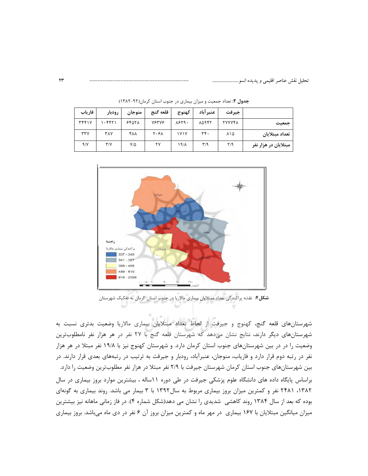|                      | جيرفت                   | عنبر آباد | كهنوج | قلعه گنج | منوجان | رودبار                  | فارياب       |
|----------------------|-------------------------|-----------|-------|----------|--------|-------------------------|--------------|
| جمعيت                | <b>TYYYFA</b>           | 80947     | 1879. | 78378    | 84978  | ۱۰۴۴۲۱                  | <b>٣۴۴١٧</b> |
| تعداد مبتلايان       | ۸۱۵                     | ۳۴.       | 1Y1Y  | ۲۰۶۸     | ۴۸۸    | <b>٣٨٧</b>              | rrv          |
| مبتلایان در هزار نفر | $\mathsf{Y}/\mathsf{q}$ | ۳٬۹       | ۱۹/۸  | ٢٧       | ۷۱۵    | $\mathsf{r}/\mathsf{v}$ | 9/1          |

جدول ٢: تعداد جمعيت و ميزان بيماري در جنوب استان كرمان(٩٢-١٣٨٢)



شکل۴: نقشه پراکندگی تعداد مبتلایان بیماری مالاریا در جنوب استان کرمان به تفکیک شهرستان

شهرستانهای قلعه گنج، کهنوج و جیرفت از لحاظ تعداد مبتلایان بیماری مالاریا وضعیت بدتری نسبت به شهرستانهای دیگر دارند، نتایج نشان میدهد که شهرستان قلعه گنج با ۲۷ نفر در هر هزار نفر نامطلوبترین وضعیت را در در بین شهرستانهای جنوب استان کرمان دارد. و شهرستان کهنوج نیز با ۱۹/۸ نفر مبتلا در هر هزار نفر در رتبه دوم قرار دارد و فاریاب، منوجان، عنبرآباد، رودبار و جیرفت به ترتیب در رتبههای بعدی قرار دارند. در بین شهرستانهای جنوب استان کرمان شهرستان جیرفت با ۲/۹ نفر مبتلا در هزار نفر مطلوبترین وضعیت را دارد. براساس پایگاه داده های دانشگاه علوم پزشکی جیرفت در طی دوره ۱۱ساله ، بیشترین موارد بروز بیماری در سال ۱۳۸۲، ۲۴۸۱ نفر و کمترین میزان بروز بیماری مربوط به سال۱۳۹۲ با ۳ بیمار می باشد. روند بیماری به گونهای بوده که بعد از سال ۱۳۸۴ روند کاهشی شدیدی را نشان می دهد(شکل شماره ۴). در فاز زمانی ماهانه نیز بیشترین میزان میانگین مبتلایان با ۱۶۷ بیماری ٍ در مهر ماه و کمترین میزان بروز آن ۶ نفر در دی ماه میباشد. بروز بیماری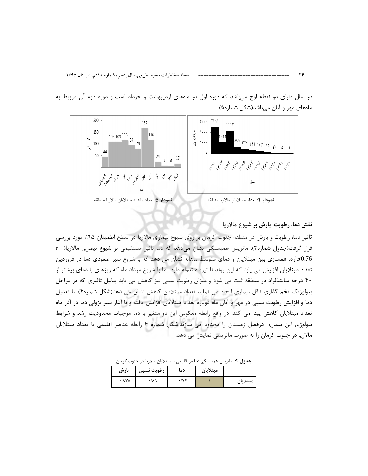در سال دارای دو نقطه اوج میباشد که دوره اول در ماههای اردیبهشت و خرداد است و دوره دوم آن مربوط به ماههای مهر و آبان میباشد(شکل شماره۵).



نمودار ۵: تعداد ماهانه مبتلايان مالاريا منطقه

## نقش دما، رطوبت، بارش بر شیوع مالاریا

تاثیر دما، رطوبت و بارش در منطقه جنوب کرمان بر روی شیوع بیماری مالاریا در سطح اطمینان ۹۵٪ مورد بررسی قرار گرفت(جدول شماره۲). ماتریس همبستگی نشان می دهد که دما تاثیر مستقیمی بر شیوع بیماری مالاریا( =r 0.76)دارد. همسازی بین مبتلایان و دمای متوسط ماهانه نشان می دهد که با شروع سیر صعودی دما در فروردین تعداد مبتلایان افزایش می یابد که این روند تا تیرماه تدوام دارد. اما با شروع مرداد ماه که روزهای با دمای بیشتر از ۴۰ درجه سانتیگراد در منطقه ثبت می شود و میزان رطوبت نسبی نیز کاهش می یابد بدلیل تاثیری که در مراحل بیولوژیک تخم گذاری ناقل بیماری ایجاد می نماید تعداد مبتلایان کاهش نشان می دهد(شکل شماره۴). با تعدیل دما و افزایش رطوبت نسبی در مهر و آبان ماه دوباره تعداد مبتلایان افزایش یافته و با آغاز سیر نزولی دما در آذر ماه تعداد مبتلایان کاهش پیدا می کند. در واقع رابطه معکوس این دو متغیر با دما موجبات محدودیت رشد و شرایط بیولوژی این بیماری درفصل زمستان را محدود می سازند.شکل شماره ۶ رابطه عناصر اقلیمی با تعداد مبتلایان مالاریا در جنوب کرمان را به صورت ماتریسی نمایش می دهد.

جدول ۲: ماتریس همبستگی عناصر اقلیمی با مبتلایان مالاریا در جنوب کرمان

| بارش                          | رطوبت نسبى         | دما           | مبتلايان |          |
|-------------------------------|--------------------|---------------|----------|----------|
| $-\cdot/\lambda\gamma\lambda$ | $-\cdot/\lambda$ 9 | $+ \cdot 119$ |          | مبتلايان |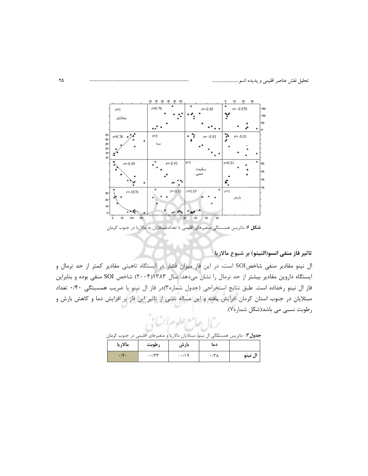

شکل ۶: ماتریس همبستگی متغیرهای اقلیمی با تعداد مبتلایان به مالاریا در جنوب کرمان

تاثير فاز منفي انسو(النينو) بر شيوع مالاريا |

ال نینو مقادیر منفی شاخصSOI است، در این فاز میزان فشار در ایستگاه تاهیتی مقادیر کمتر از حد نرمال و ایستگاه داروین مقادیر بیشتر از حد نرمال را نشان میدهد. سال ۱۳۸۳(۲۰۰۴) شاخص SOI منفی بوده و بنابراین فاز ال نینو رخداده است. طبق نتایج استخراجی (جدول شماره۳)در فاز ال نینو با ضریب همسبتگی ۰/۴۰ تعداد مبتلایان در جنوب استان کرمان افزایش یافته و این مساله ناشی از تاثیر این فاز بر افزایش دما و کاهش بارش و رطوبت نسبی می باشد(شکل شماره۷).

ج**دول ۳:** ماتریس همبستگی ال نینو، مبتلایان مالاریا <mark>و متغیرهای اقلیمی در جنوب کرمان</mark>

| مالاريا | رطوبت  | بارش   | دما          |         |
|---------|--------|--------|--------------|---------|
| .19.    | $-177$ | $-119$ | $.77\lambda$ | ال نينو |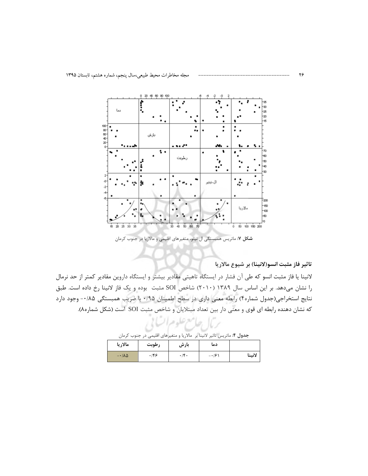

شکل ۷: ماتریس همبستگی ال نینو، متغیرهای اقلیمی و مالاریا در جنوب کرمان

تاثير فاز مثبت انسو(لانينا) بر شيوع مالاريا

لانینا یا فاز مثبت انسو که طی آن فشار در ایستگاه تاهیتی مقادیر بیشتر و ایستگاه داروین مقادیر کمتر از حد نرمال را نشان میدهد. بر این اساس سال ۱۳۸۹ (۲۰۱۰) شاخص SOI مثبت بوده و یک فاز لانینا رخ داده است. طبق نتايج استخراجي(جدول شماره۴) رابطه معنى داري در سطح اطمينان ۰/۹۵ با ضريب همبستگي ۰/۸۵- وجود دارد که نشان دهنده رابطه ای قوی و معنی دار بین تعداد مبتلایان و شاخص مثبت SOI است (شکل شماره۸).

جدول ۴: ماتریس تاثیر لانینا بر مالاریا و متغیرهای اقلیمی در جنوب کرمان

ربال جامع علوم السالا

| مالاريا             | رطوبت | بارش | دما          |        |
|---------------------|-------|------|--------------|--------|
| $-1/\lambda \Delta$ | ۱۴۶   | ۴٠   | $- \cdot 19$ | لانينا |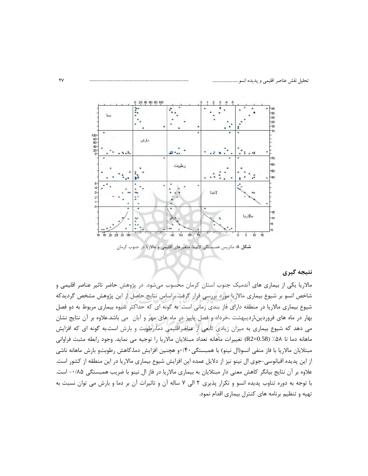

شکل ۸: ماتریس همبستگی لانینا، متغیرهای اقلیمی و مالاریا در جنوب کرمان

## نتيجه گيري

مالاریا یکی از بیماری های آندمیک جنوب استان کرمان محسوب میشود. در پژوهش حاضر تاثیر عناصر اقلیمی و شاخص انسو بر شیوع بیماری مالاریا مورد بررسی قرار گرفت براساس نتایج حاصل از این پژوهش مشخص گردیدکه شیوع بیماری مالاریا در منطقه دارای فاز بندی زمانی است. به گونه ای که حداکثر شیوه بیماری مربوط به دو فصل بهار در ماه های فروردین،اردیبهشت ،خرداد و فصل پاییز در ماه های مهر و آبان هی باشد.علاوه بر آن نتایج نشان می دهد که شیوع بیماری به میزان زیادی تابعی از عناصراقلیمی دما،رطوبت و بارش است.به گونه ای که افزایش ماهانه دما تا ۵۸٪ (R2=0.58) تغييرات ماهانه تعداد مبتلايان مالاريا را توجيه مي نمايد. وجود رابطه مثبت فراواني مبتلایان مالاریا با فاز منفی انسو(ال نینو) با همبستگی۱۴۰و هچنین افزایش دما،کاهش رطوبتو بارش ماهانه ناشی از این پدیده اقیانوسی-جوی ال نینو نیز از دلایل عمده این افزایش شیوع بیماری مالاریا در این منطقه از کشور است. علاوه بر آن نتایج بیانگر کاهش معنی دار مبتلایان به بیماری مالاریا در فاز ال نینو با ضریب همبستگی ۰/۸۵- است. با توجه به دوره تناوب پدیده انسو و تکرار پذیری ۲ الی ۷ ساله آن و تاثیرات آن بر دما و بارش می توان نسبت به تهیه و تنظیم برنامه های کنترل بیماری اقدام نمود.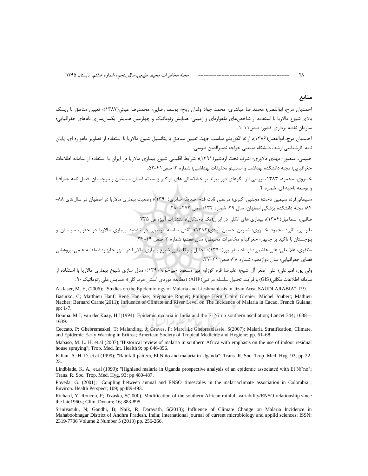#### منابع

٢٨

احمديان مرج، ابوالفضل؛ محمدرضا مباشري؛ محمد جواد ولدان زوج؛ يوسف رضايي؛ محمدرضا عبائي(١٣٨٧)؛ تعيين مناطق با ريسك .<br>بالای شیوع مالاریا با استفاده از شاخصهای ماهوارهای و زمینی؛ همایش ژئوماتیک و چهارمین همایش یکسانسازی نامهای جغرافیایی؛ سازمان نقشه برداری کشور؛ صص ۱۱-۱.

احمديان مرج، ابوالفضل(١٣٨۶)، ارائه الكوريتم مناسب جهت تعيين مناطق با پتانسيل شيوع مالاريا با استفاده از تصاوير ماهواره اي، پايان نامه كارشناسي ارشد، دانشگاه صنعتي خواجه نصيرالدين طوسي.

حلیمی، منصور؛ مهدی دلاوری؛ اشرف تخت اردشیر(۱۳۹۱)؛ شرایط اقلیمی شیوع بیماری مالاریا در ایران با استفاده از سامانه اطلاعات جغرافيايي؛ مجله دانشكده بهداشت و انستيتو تحقيقات بهداشتي؛ شماره ٣؛ صص ۴١-۵۲.

خسروی، محمود، ۱۳۸۳، بررسی اثر الگوهای دور پیوند بر خشکسالی های فراگیر زمستانه استان سیستان و بلوچستان، فصل نامه جغرافیا و توسعه ناحیه ای، شماره ۴.

سلیمانیفرد، سیمین دخت؛ مجتبی اکبری؛ مرتضی ثابت قد<mark>م؛ صدیقه صابری(۱۳۹۰)</mark>؛ وضعیت بیماری مالاریا در اصفهان در سالهای ۸۸-۸۴؛ مجله دانشکده پزشکی اصفهان؛ سال ۲۹؛ شماره ۱۳۲؛ صص ۲۷۳-۲۸۰.

صائبی، اسماعیل(۱۳۸۴)، بیماری های انگلی در ایران(تک پاختگان)، انتشارات آبیز، ص ۳۳۵.

طاوسی، تقی؛ محمود خسروی؛ نسرین حسین آبادی(۱۳۹۲)؛ نقش سامانه موسمی در تشدید بیماری مالاریا در جنوب سیستان و بلوچستان با تاکید بر چابهار؛ جغرافیا و مخاطرات محیطی؛ سال هفتم؛ شماره ۳؛ صص ۱۹-۳۴.

مظفری، غلامعلی؛ علی هاشمی؛ فرشاد صفر پور(۱۳۹۰)؛ تحلیل بیوکلیمایی شیوع بیماری مالاریا در شهر چابهار؛ فصلنامه علمی-پزوهشی فضای جغرافیایی؛ سال دوازدهم؛ شماره ۳۸؛ صص ۲۱-۳۲.

ولی پور، امیرعلی؛ علی اصغر آل شیخ؛ علیرضا قره گوزلو؛ میر مسعود خیرخواه(۱۳۹۰)؛ مدل سازی شیوع بیماری مالاریا با استفاده از سامانه اطلاعات مكاني(GIS) و فرايند تحليل سلسله مراتبي(AHP) (مطالعه موردي استان هرمزگان)؛ همايش ملي ژئوماتيک ٩٠.

Al-Jaser, M. H. (2006); "Studies on the Epidemiology of Malaria and Lieshmaniasis in Jizan Area, SAUDI ARABIA"; P 9. Basurko, C; Matthieu Hanf; René Han-Sze; Stéphanie Rogier; Philippe Hérit Claire Grenier; Michel Joubert; Mathieu Nacher; Bernard Carme(2011); Influence of Climate and River Level on The Incidence of Malaria in Cacao, French Guiana; pp: 1-7.

Bouma, M.J; van der Kaay, H.J(1994); Epidemic malaria in India and the El Ni no southern oscillation; Lancet 344; 1638— 1639.

Ceccato, P; Ghebremeskel, T; Malanding, J; Graves, P; Marc, L; Ghebreselassie, S(2007); Malaria Stratification, Climate, and Epidemic Early Warning in Eritrea; American Society of Tropical Medicine and Hygiene; pp. 61-68.

Mabaso, M. L. H. et.al (2007);"Historical review of malaria in southern Africa with emphasis on the use of indoor residual house spraying"; Trop. Med. Int. Health 9; pp 846-856.

Kilian, A. H. D. et.al (1999); "Rainfall pattern, El Niño and malaria in Uganda"; Trans. R. Soc. Trop. Med. Hyg. 93; pp 22-23.

Lindblade, K. A., et.al (1999); "Highland malaria in Uganda prospective analysis of an epidemic associated with El Ni no"; Trans. R. Soc. Trop. Med. Hyg. 93; pp 480-487.

Poveda, G. (2001); "Coupling between annual and ENSO timescales in the malariaclimate association in Colombia"; Environ. Health Perspect; 109; pp489-493.

Richard, Y; Roucou, P; Trzaska, S(2000); Modification of the southern African rainfall variability/ENSO relationship since the late1960s; Clim. Dynam; 16; 883-895.

Srinivasulu, N; Gandhi, B; Naik, R; Daravath, S(2013); Influence of Climate Change on Malaria Incidence in Mahaboobnagar District of Andhra Pradesh, India; international journal of current microbiology and applid sciences; ISSN: 2319-7706 Volume 2 Number 5 (2013) pp. 256-266.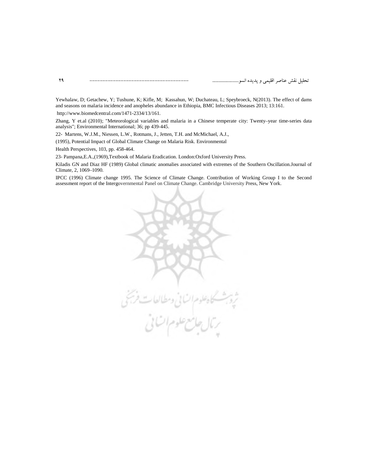Yewhalaw, D; Getachew, Y; Tushune, K; Kifle, M; Kassahun, W; Duchateau, L; Speybroeck, N(2013). The effect of dams and seasons on malaria incidence and anopheles abundance in Ethiopia, BMC Infectious Diseases 2013; 13:161.

http://www.biomedcentral.com/1471-2334/13/161.

Zhang, Y et.al (2010); "Meteorological variables and malaria in a Chinese temperate city: Twenty–year time-series data analysis"; Environmental International; 36; pp 439-445.

22- Martens, W.J.M., Niessen, L.W., Rotmans, J., Jetten, T.H. and McMichael, A.J.,

(1995), Potential Impact of Global Climate Change on Malaria Risk. Environmental

Health Perspectives, 103, pp. 458-464.

23- Pampana,E.A.,(1969),Textbook of Malaria Eradication. London:Oxford University Press.

Kiladis GN and Diaz HF (1989) Global climatic anomalies associated with extremes of the Southern Oscillation.Journal of Climate, 2, 1069–1090.

IPCC (1996) Climate change 1995. The Science of Climate Change. Contribution of Working Group I to the Second assessment report of the Intergovernmental Panel on Climate Change. Cambridge University Press, New York.